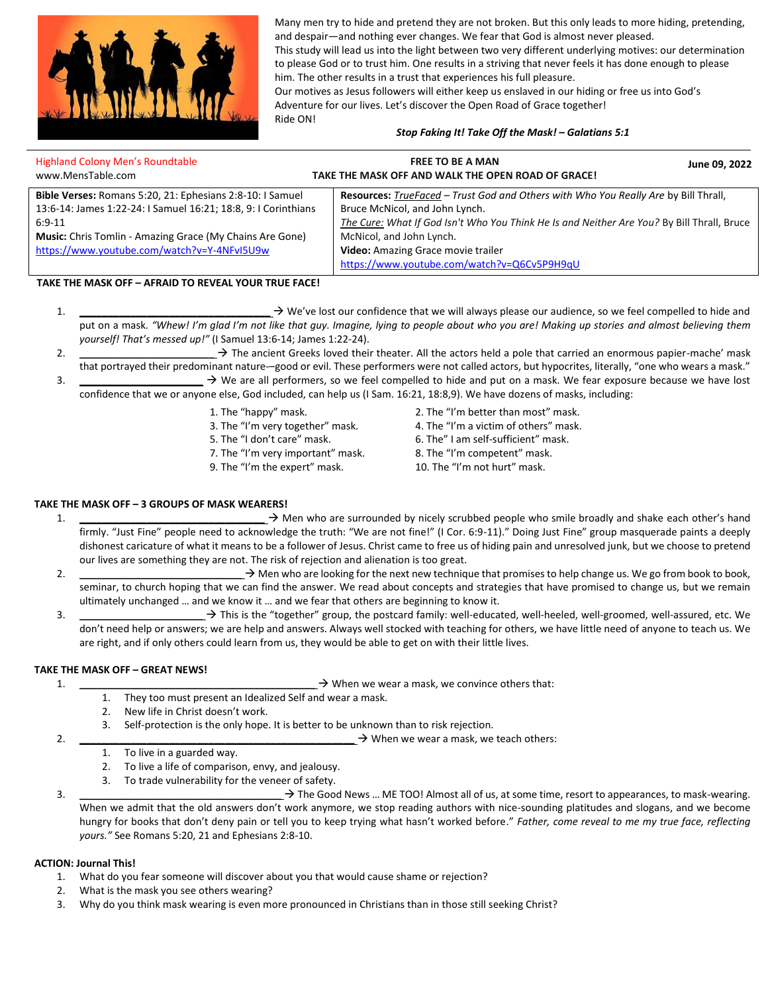

Many men try to hide and pretend they are not broken. But this only leads to more hiding, pretending, and despair—and nothing ever changes. We fear that God is almost never pleased.

This study will lead us into the light between two very different underlying motives: our determination to please God or to trust him. One results in a striving that never feels it has done enough to please him. The other results in a trust that experiences his full pleasure.

Our motives as Jesus followers will either keep us enslaved in our hiding or free us into God's Adventure for our lives. Let's discover the Open Road of Grace together! Ride ON!

### *Stop Faking It! Take Off the Mask! – Galatians 5:1*

| <b>Highland Colony Men's Roundtable</b><br>www.MensTable.com    | <b>FREE TO BE A MAN</b><br>June 09, 2022<br>TAKE THE MASK OFF AND WALK THE OPEN ROAD OF GRACE! |  |
|-----------------------------------------------------------------|------------------------------------------------------------------------------------------------|--|
| Bible Verses: Romans 5:20, 21: Ephesians 2:8-10: I Samuel       | Resources: TrueFaced - Trust God and Others with Who You Really Are by Bill Thrall,            |  |
| 13:6-14: James 1:22-24: I Samuel 16:21; 18:8, 9: I Corinthians  | Bruce McNicol, and John Lynch.                                                                 |  |
| $6:9-11$                                                        | The Cure: What If God Isn't Who You Think He Is and Neither Are You? By Bill Thrall, Bruce     |  |
| <b>Music:</b> Chris Tomlin - Amazing Grace (My Chains Are Gone) | McNicol, and John Lynch.                                                                       |  |
| https://www.youtube.com/watch?v=Y-4NFvI5U9w                     | Video: Amazing Grace movie trailer                                                             |  |
|                                                                 | https://www.youtube.com/watch?v=Q6Cv5P9H9qU                                                    |  |

### **TAKE THE MASK OFF – AFRAID TO REVEAL YOUR TRUE FACE!**

- 1.  $\rightarrow$  We've lost our confidence that we will always please our audience, so we feel compelled to hide and put on a mask. "Whew! I'm glad I'm not like that guy. Imagine, lying to people about who you are! Making up stories and almost believing them *yourself! That's messed up!"* (I Samuel 13:6-14; James 1:22-24).
- 2. **\_\_\_\_\_\_\_\_\_\_\_\_\_\_\_\_\_\_\_\_\_\_\_\_** → The ancient Greeks loved their theater. All the actors held a pole that carried an enormous papier-mache' mask that portrayed their predominant nature-–good or evil. These performers were not called actors, but hypocrites, literally, "one who wears a mask." 3. **\_\_\_\_\_\_\_\_\_\_\_\_\_\_\_\_\_\_\_\_\_\_** → We are all performers, so we feel compelled to hide and put on a mask. We fear exposure because we have lost

confidence that we or anyone else, God included, can help us (I Sam. 16:21, 18:8,9). We have dozens of masks, including:

- 1. The "happy" mask.
- 3. The "I'm very together" mask.
- 5. The "I don't care" mask.
- 7. The "I'm very important" mask.
- 9. The "I'm the expert" mask.
- 2. The "I'm better than most" mask. 4. The "I'm a victim of others" mask.
- 6. The" I am self-sufficient" mask.
- 8. The "I'm competent" mask.
- 10. The "I'm not hurt" mask.

## **TAKE THE MASK OFF – 3 GROUPS OF MASK WEARERS!**

- 1. **\_\_\_\_\_\_\_\_\_\_\_\_\_\_\_\_\_\_\_\_\_\_\_\_\_\_\_\_\_\_\_\_\_** → Men who are surrounded by nicely scrubbed people who smile broadly and shake each other's hand firmly. "Just Fine" people need to acknowledge the truth: "We are not fine!" (I Cor. 6:9-11)." Doing Just Fine" group masquerade paints a deeply dishonest caricature of what it means to be a follower of Jesus. Christ came to free us of hiding pain and unresolved junk, but we choose to pretend our lives are something they are not. The risk of rejection and alienation is too great.
- 2.  $\rightarrow$  **Men who are looking for the next new technique that promises to help change us. We go from book to book,** seminar, to church hoping that we can find the answer. We read about concepts and strategies that have promised to change us, but we remain ultimately unchanged … and we know it … and we fear that others are beginning to know it.
- 3. **\_\_\_\_\_\_\_\_\_\_\_\_\_\_\_\_\_\_\_\_\_\_** → This is the "together" group, the postcard family: well-educated, well-heeled, well-groomed, well-assured, etc. We don't need help or answers; we are help and answers. Always well stocked with teaching for others, we have little need of anyone to teach us. We are right, and if only others could learn from us, they would be able to get on with their little lives.

# **TAKE THE MASK OFF – GREAT NEWS!**

- 1. **\_\_\_\_\_\_\_\_\_\_\_\_\_\_\_\_\_\_\_\_\_\_\_\_\_\_\_\_\_\_\_\_\_\_\_\_\_\_\_\_\_\_** → When we wear a mask, we convince others that:
	- 1. They too must present an Idealized Self and wear a mask.
	- 2. New life in Christ doesn't work.
	- 3. Self-protection is the only hope. It is better to be unknown than to risk rejection.
- 2. **\_\_\_\_\_\_\_\_\_\_\_\_\_\_\_\_\_\_\_\_\_\_\_\_\_\_\_\_\_\_\_\_\_\_\_\_\_\_\_\_\_\_\_\_\_\_\_\_\_** → When we wear a mask, we teach others:
	- 1. To live in a guarded way.
	- 2. To live a life of comparison, envy, and jealousy.
	- 3. To trade vulnerability for the veneer of safety.
- 3. **\_\_\_\_\_\_\_\_\_\_\_\_\_\_\_\_\_\_\_\_\_\_\_\_\_\_\_\_\_\_\_\_\_\_\_\_** → The Good News … ME TOO! Almost all of us, at some time, resort to appearances, to mask-wearing. When we admit that the old answers don't work anymore, we stop reading authors with nice-sounding platitudes and slogans, and we become hungry for books that don't deny pain or tell you to keep trying what hasn't worked before." *Father, come reveal to me my true face, reflecting yours."* See Romans 5:20, 21 and Ephesians 2:8-10.

## **ACTION: Journal This!**

- 1. What do you fear someone will discover about you that would cause shame or rejection?
- 2. What is the mask you see others wearing?
- 3. Why do you think mask wearing is even more pronounced in Christians than in those still seeking Christ?